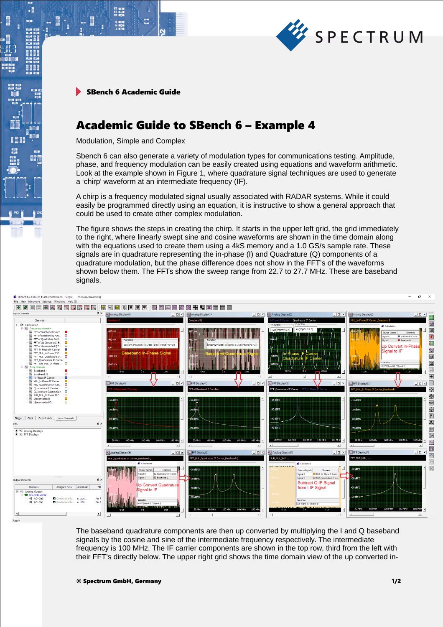

SBench 6 Academic Guide

 $\begin{array}{l} 21 \ \ 0000 \\ +1 \ \ 0000 \\ 91 \ \ 0000 \\ \end{array}$ 

 $\cdot$ 

**BEEF** 

瞪

## Academic Guide to SBench 6 – Example 4

Modulation, Simple and Complex

Sbench 6 can also generate a variety of modulation types for communications testing. Amplitude, phase, and frequency modulation can be easily created using equations and waveform arithmetic. Look at the example shown in Figure 1, where quadrature signal techniques are used to generate a 'chirp' waveform at an intermediate frequency (IF).

A chirp is a frequency modulated signal usually associated with RADAR systems. While it could easily be programmed directly using an equation, it is instructive to show a general approach that could be used to create other complex modulation.

The figure shows the steps in creating the chirp. It starts in the upper left grid, the grid immediately to the right, where linearly swept sine and cosine waveforms are shown in the time domain along with the equations used to create them using a 4kS memory and a 1.0 GS/s sample rate. These signals are in quadrature representing the in-phase (I) and Quadrature (Q) components of a quadrature modulation, but the phase difference does not show in the FFT's of the waveforms shown below them. The FFTs show the sweep range from 22.7 to 27.7 MHz. These are baseband signals.



The baseband quadrature components are then up converted by multiplying the I and Q baseband signals by the cosine and sine of the intermediate frequency respectively. The intermediate frequency is 100 MHz. The IF carrier components are shown in the top row, third from the left with their FFT's directly below. The upper right grid shows the time domain view of the up converted in-